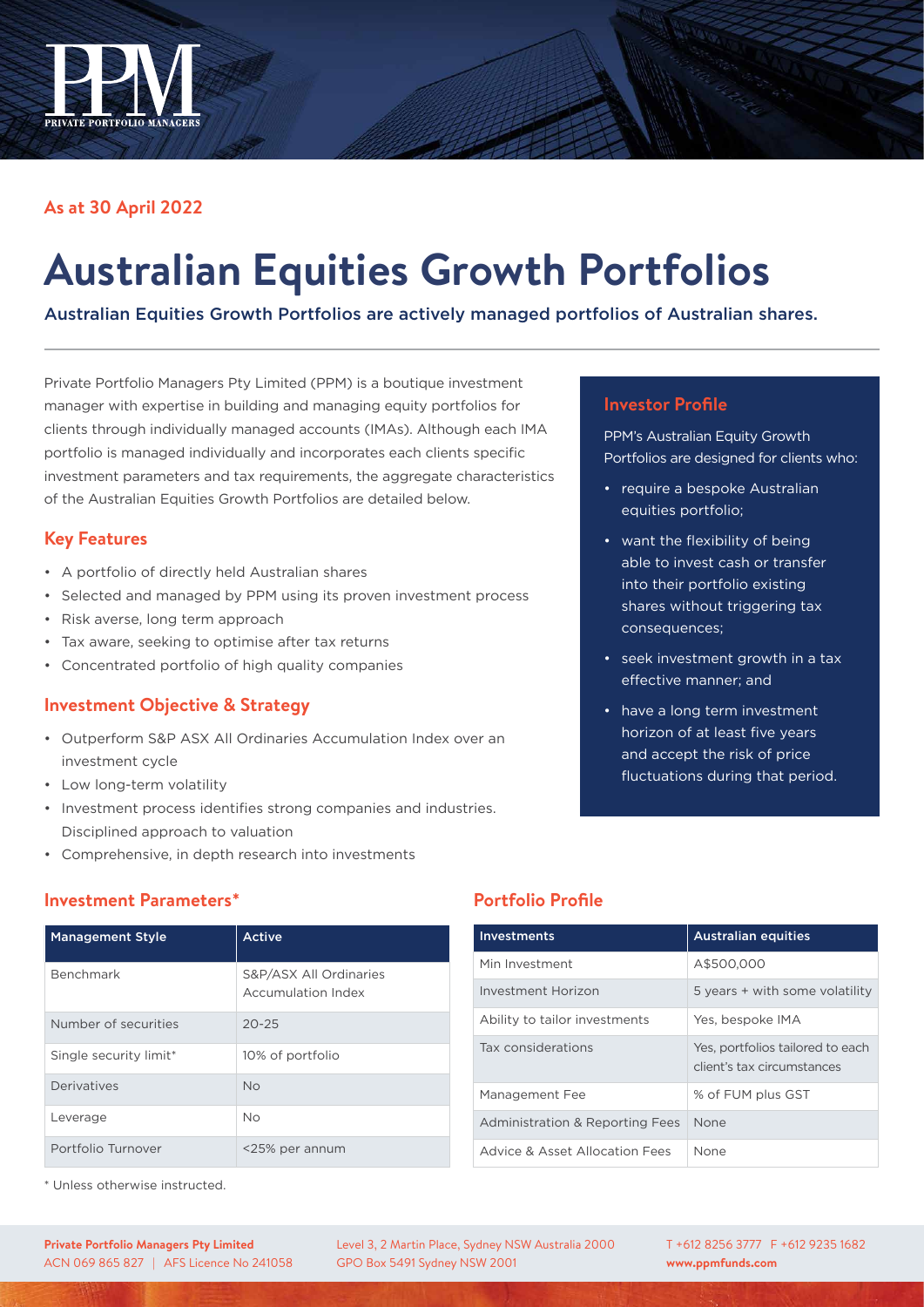

## **As at 30 April 2022**

# **Australian Equities Growth Portfolios**

Australian Equities Growth Portfolios are actively managed portfolios of Australian shares.

Private Portfolio Managers Pty Limited (PPM) is a boutique investment manager with expertise in building and managing equity portfolios for clients through individually managed accounts (IMAs). Although each IMA portfolio is managed individually and incorporates each clients specific investment parameters and tax requirements, the aggregate characteristics of the Australian Equities Growth Portfolios are detailed below.

#### **Key Features**

- A portfolio of directly held Australian shares
- Selected and managed by PPM using its proven investment process
- Risk averse, long term approach
- Tax aware, seeking to optimise after tax returns
- Concentrated portfolio of high quality companies

### **Investment Objective & Strategy**

- Outperform S&P ASX All Ordinaries Accumulation Index over an investment cycle
- Low long-term volatility
- Investment process identifies strong companies and industries. Disciplined approach to valuation
- Comprehensive, in depth research into investments

# **Investment Parameters\***

| <b>Management Style</b> | Active                                       |
|-------------------------|----------------------------------------------|
| Benchmark               | S&P/ASX All Ordinaries<br>Accumulation Index |
| Number of securities    | $20 - 25$                                    |
| Single security limit*  | 10% of portfolio                             |
| Derivatives             | <b>No</b>                                    |
| Leverage                | <b>No</b>                                    |
| Portfolio Turnover      | <25% per annum                               |

\* Unless otherwise instructed.

# **Portfolio Profile**

| <b>Investments</b>              | <b>Australian equities</b>                                     |
|---------------------------------|----------------------------------------------------------------|
| Min Investment                  | A\$500,000                                                     |
| Investment Horizon              | 5 years + with some volatility                                 |
| Ability to tailor investments   | Yes, bespoke IMA                                               |
| Tax considerations              | Yes, portfolios tailored to each<br>client's tax circumstances |
| Management Fee                  | % of FUM plus GST                                              |
| Administration & Reporting Fees | None                                                           |
| Advice & Asset Allocation Fees  | None                                                           |

## **Investor Profile**

PPM's Australian Equity Growth Portfolios are designed for clients who:

- require a bespoke Australian equities portfolio;
- want the flexibility of being able to invest cash or transfer into their portfolio existing shares without triggering tax consequences;
- seek investment growth in a tax effective manner; and
- have a long term investment horizon of at least five years and accept the risk of price fluctuations during that period.

T +612 8256 3777 F +612 9235 1682 **www.ppmfunds.com**